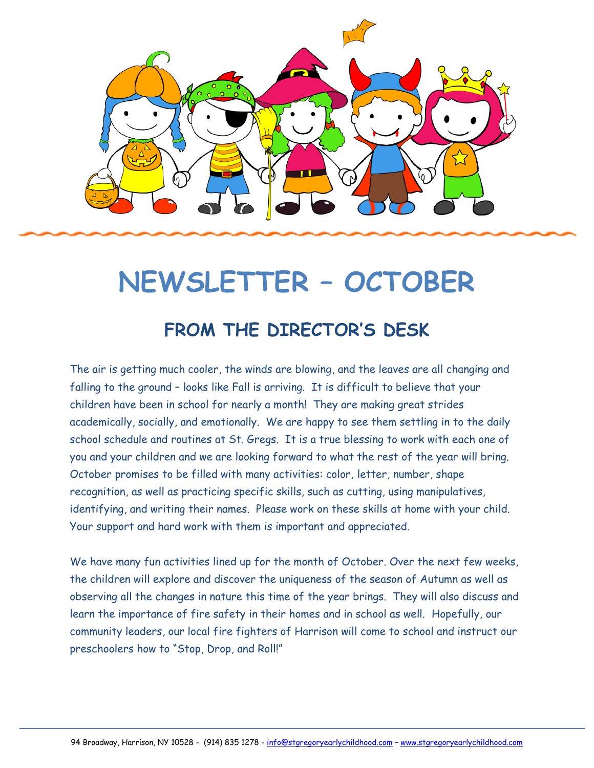

# **NEWSLETTER – OCTOBER**

## **FROM THE DIRECTOR'S DESK**

The air is getting much cooler, the winds are blowing, and the leaves are all changing and falling to the ground – looks like Fall is arriving. It is difficult to believe that your children have been in school for nearly a month! They are making great strides academically, socially, and emotionally. We are happy to see them settling in to the daily school schedule and routines at St. Gregs. It is a true blessing to work with each one of you and your children and we are looking forward to what the rest of the year will bring. October promises to be filled with many activities: color, letter, number, shape recognition, as well as practicing specific skills, such as cutting, using manipulatives, identifying, and writing their names. Please work on these skills at home with your child. Your support and hard work with them is important and appreciated.

We have many fun activities lined up for the month of October. Over the next few weeks, the children will explore and discover the uniqueness of the season of Autumn as well as observing all the changes in nature this time of the year brings. They will also discuss and learn the importance of fire safety in their homes and in school as well. Hopefully, our community leaders, our local fire fighters of Harrison will come to school and instruct our preschoolers how to "Stop, Drop, and Roll!"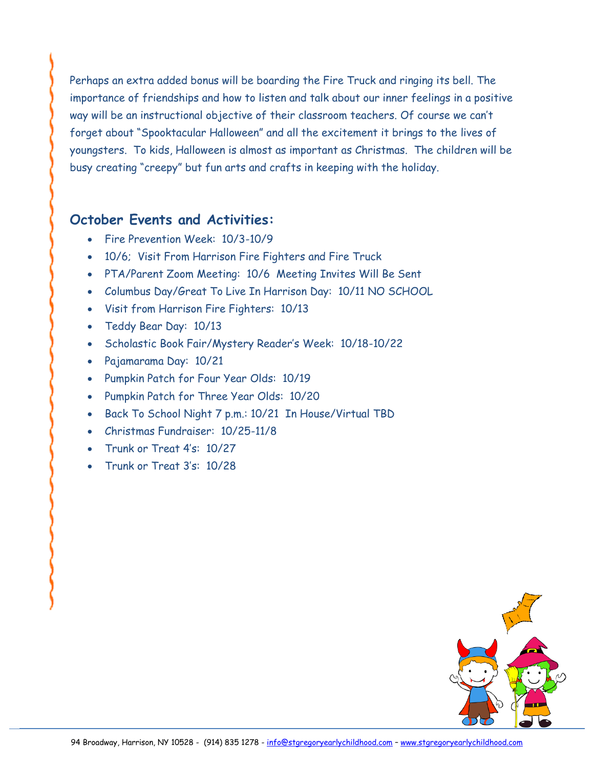Perhaps an extra added bonus will be boarding the Fire Truck and ringing its bell. The importance of friendships and how to listen and talk about our inner feelings in a positive way will be an instructional objective of their classroom teachers. Of course we can't forget about "Spooktacular Halloween" and all the excitement it brings to the lives of youngsters. To kids, Halloween is almost as important as Christmas. The children will be busy creating "creepy" but fun arts and crafts in keeping with the holiday.

#### **October Events and Activities:**

- Fire Prevention Week: 10/3-10/9
- 10/6; Visit From Harrison Fire Fighters and Fire Truck
- PTA/Parent Zoom Meeting: 10/6 Meeting Invites Will Be Sent
- Columbus Day/Great To Live In Harrison Day: 10/11 NO SCHOOL
- Visit from Harrison Fire Fighters: 10/13
- Teddy Bear Day: 10/13
- Scholastic Book Fair/Mystery Reader's Week: 10/18-10/22
- Pajamarama Day: 10/21
- Pumpkin Patch for Four Year Olds: 10/19
- Pumpkin Patch for Three Year Olds: 10/20
- Back To School Night 7 p.m.: 10/21 In House/Virtual TBD
- Christmas Fundraiser: 10/25-11/8
- Trunk or Treat 4's: 10/27
- Trunk or Treat 3's: 10/28

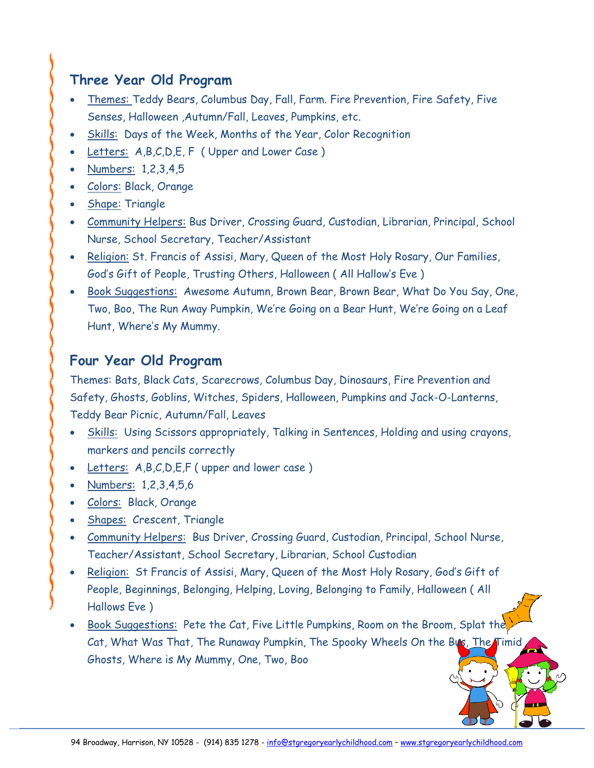## **Three Year Old Program**

- Themes: Teddy Bears, Columbus Day, Fall, Farm. Fire Prevention, Fire Safety, Five Senses, Halloween ,Autumn/Fall, Leaves, Pumpkins, etc.
- Skills: Days of the Week, Months of the Year, Color Recognition
- Letters: A,B,C,D,E, F ( Upper and Lower Case )
- Numbers: 1,2,3,4,5
- Colors: Black, Orange
- Shape: Triangle
- Community Helpers: Bus Driver, Crossing Guard, Custodian, Librarian, Principal, School Nurse, School Secretary, Teacher/Assistant
- Religion: St. Francis of Assisi, Mary, Queen of the Most Holy Rosary, Our Families, God's Gift of People, Trusting Others, Halloween ( All Hallow's Eve )
- Book Suggestions: Awesome Autumn, Brown Bear, Brown Bear, What Do You Say, One, Two, Boo, The Run Away Pumpkin, We're Going on a Bear Hunt, We're Going on a Leaf Hunt, Where's My Mummy.

### **Four Year Old Program**

Themes: Bats, Black Cats, Scarecrows, Columbus Day, Dinosaurs, Fire Prevention and Safety, Ghosts, Goblins, Witches, Spiders, Halloween, Pumpkins and Jack-O-Lanterns, Teddy Bear Picnic, Autumn/Fall, Leaves

- Skills: Using Scissors appropriately, Talking in Sentences, Holding and using crayons, markers and pencils correctly
- Letters: A,B,C,D,E,F (upper and lower case)
- Numbers: 1,2,3,4,5,6
- Colors: Black, Orange
- Shapes: Crescent, Triangle
- Community Helpers: Bus Driver, Crossing Guard, Custodian, Principal, School Nurse, Teacher/Assistant, School Secretary, Librarian, School Custodian
- Religion: St Francis of Assisi, Mary, Queen of the Most Holy Rosary, God's Gift of People, Beginnings, Belonging, Helping, Loving, Belonging to Family, Halloween ( All Hallows Eve )
- Book Suggestions: Pete the Cat, Five Little Pumpkins, Room on the Broom, Splat the Cat, What Was That, The Runaway Pumpkin, The Spooky Wheels On the Bus, The Timid Ghosts, Where is My Mummy, One, Two, Boo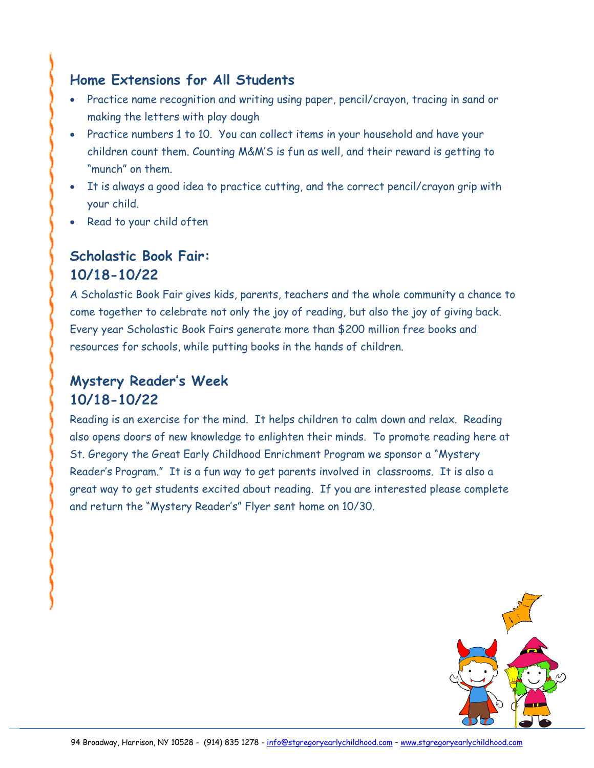## **Home Extensions for All Students**

- Practice name recognition and writing using paper, pencil/crayon, tracing in sand or making the letters with play dough
- Practice numbers 1 to 10. You can collect items in your household and have your children count them. Counting M&M'S is fun as well, and their reward is getting to "munch" on them.
- It is always a good idea to practice cutting, and the correct pencil/crayon grip with your child.
- Read to your child often

## **Scholastic Book Fair: 10/18-10/22**

A Scholastic Book Fair gives kids, parents, teachers and the whole community a chance to come together to celebrate not only the joy of reading, but also the joy of giving back. Every year Scholastic Book Fairs generate more than \$200 million free books and resources for schools, while putting books in the hands of children.

## **Mystery Reader's Week 10/18-10/22**

Reading is an exercise for the mind. It helps children to calm down and relax. Reading also opens doors of new knowledge to enlighten their minds. To promote reading here at St. Gregory the Great Early Childhood Enrichment Program we sponsor a "Mystery Reader's Program." It is a fun way to get parents involved in classrooms. It is also a great way to get students excited about reading. If you are interested please complete and return the "Mystery Reader's" Flyer sent home on 10/30.

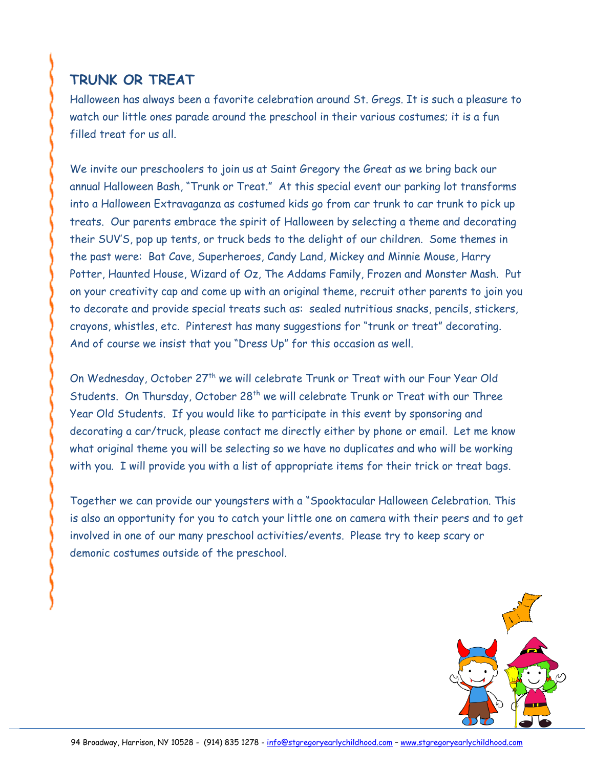## **TRUNK OR TREAT**

Halloween has always been a favorite celebration around St. Gregs. It is such a pleasure to watch our little ones parade around the preschool in their various costumes; it is a fun filled treat for us all.

We invite our preschoolers to join us at Saint Gregory the Great as we bring back our annual Halloween Bash, "Trunk or Treat." At this special event our parking lot transforms into a Halloween Extravaganza as costumed kids go from car trunk to car trunk to pick up treats. Our parents embrace the spirit of Halloween by selecting a theme and decorating their SUV'S, pop up tents, or truck beds to the delight of our children. Some themes in the past were: Bat Cave, Superheroes, Candy Land, Mickey and Minnie Mouse, Harry Potter, Haunted House, Wizard of Oz, The Addams Family, Frozen and Monster Mash. Put on your creativity cap and come up with an original theme, recruit other parents to join you to decorate and provide special treats such as: sealed nutritious snacks, pencils, stickers, crayons, whistles, etc. Pinterest has many suggestions for "trunk or treat" decorating. And of course we insist that you "Dress Up" for this occasion as well.

On Wednesday, October 27<sup>th</sup> we will celebrate Trunk or Treat with our Four Year Old Students. On Thursday, October 28<sup>th</sup> we will celebrate Trunk or Treat with our Three Year Old Students. If you would like to participate in this event by sponsoring and decorating a car/truck, please contact me directly either by phone or email. Let me know what original theme you will be selecting so we have no duplicates and who will be working with you. I will provide you with a list of appropriate items for their trick or treat bags.

Together we can provide our youngsters with a "Spooktacular Halloween Celebration. This is also an opportunity for you to catch your little one on camera with their peers and to get involved in one of our many preschool activities/events. Please try to keep scary or demonic costumes outside of the preschool.

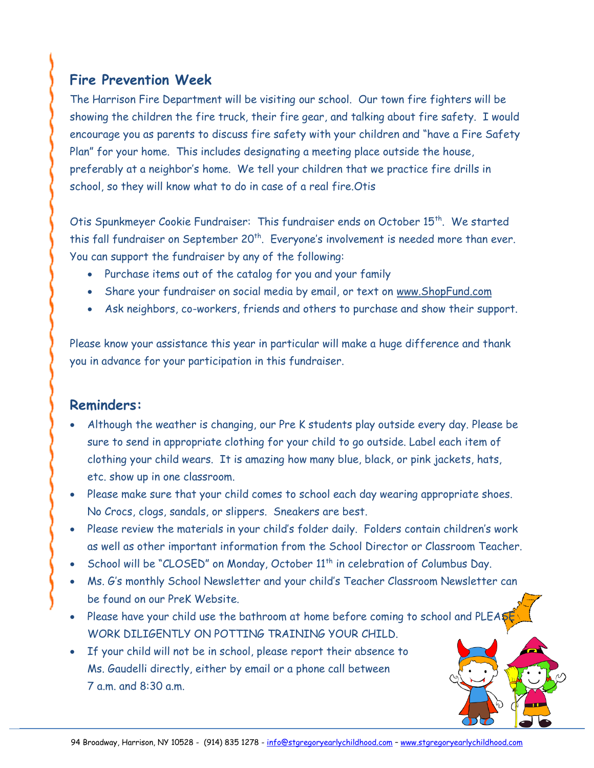## **Fire Prevention Week**

The Harrison Fire Department will be visiting our school. Our town fire fighters will be showing the children the fire truck, their fire gear, and talking about fire safety. I would encourage you as parents to discuss fire safety with your children and "have a Fire Safety Plan" for your home. This includes designating a meeting place outside the house, preferably at a neighbor's home. We tell your children that we practice fire drills in school, so they will know what to do in case of a real fire.Otis

Otis Spunkmeyer Cookie Fundraiser: This fundraiser ends on October 15<sup>th</sup>. We started this fall fundraiser on September  $20<sup>th</sup>$ . Everyone's involvement is needed more than ever. You can support the fundraiser by any of the following:

- Purchase items out of the catalog for you and your family
- Share your fundraiser on social media by email, or text on [www.ShopFund.com](http://www.shopfund.com/)
- Ask neighbors, co-workers, friends and others to purchase and show their support.

Please know your assistance this year in particular will make a huge difference and thank you in advance for your participation in this fundraiser.

#### **Reminders:**

- Although the weather is changing, our Pre K students play outside every day. Please be sure to send in appropriate clothing for your child to go outside. Label each item of clothing your child wears. It is amazing how many blue, black, or pink jackets, hats, etc. show up in one classroom.
- Please make sure that your child comes to school each day wearing appropriate shoes. No Crocs, clogs, sandals, or slippers. Sneakers are best.
- Please review the materials in your child's folder daily. Folders contain children's work as well as other important information from the School Director or Classroom Teacher.
- School will be "CLOSED" on Monday, October 11<sup>th</sup> in celebration of Columbus Day.
- Ms. G's monthly School Newsletter and your child's Teacher Classroom Newsletter can be found on our PreK Website.
- Please have your child use the bathroom at home before coming to school and PLEA WORK DILIGENTLY ON POTTING TRAINING YOUR CHILD.
- If your child will not be in school, please report their absence to Ms. Gaudelli directly, either by email or a phone call between 7 a.m. and 8:30 a.m.